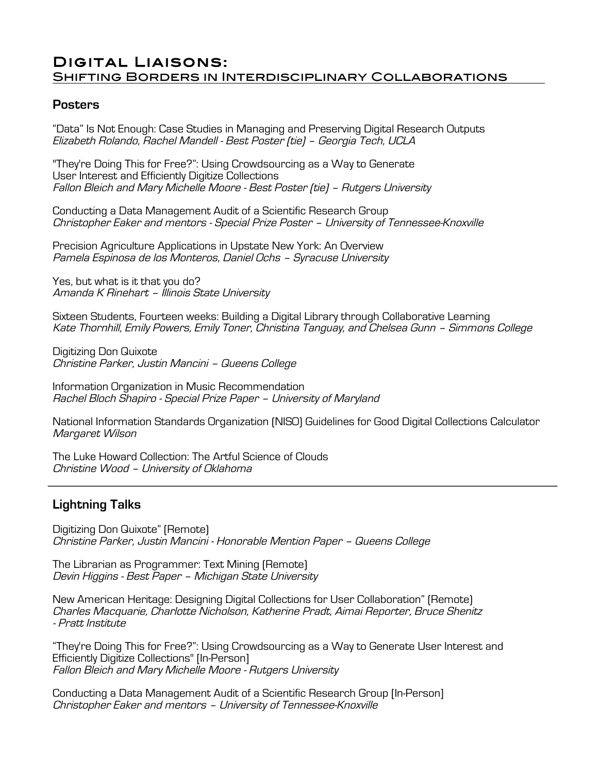## Digital Liaisons: Shifting Borders in Interdisciplinary Collaborations

## **Posters**

"Data" Is Not Enough: Case Studies in Managing and Preserving Digital Research Outputs Elizabeth Rolando, Rachel Mandell - Best Poster (tie) – Georgia Tech, UCLA

"They're Doing This for Free?": Using Crowdsourcing as a Way to Generate User Interest and Efficiently Digitize Collections Fallon Bleich and Mary Michelle Moore - Best Poster (tie) – Rutgers University

Conducting a Data Management Audit of a Scientific Research Group Christopher Eaker and mentors - Special Prize Poster – University of Tennessee-Knoxville

Precision Agriculture Applications in Upstate New York: An Overview Pamela Espinosa de los Monteros, Daniel Ochs – Syracuse University

Yes, but what is it that you do? Amanda K Rinehart – Illinois State University

Sixteen Students, Fourteen weeks: Building a Digital Library through Collaborative Learning Kate Thornhill, Emily Powers, Emily Toner, Christina Tanguay, and Chelsea Gunn – Simmons College

Digitizing Don Quixote Christine Parker, Justin Mancini – Queens College

Information Organization in Music Recommendation Rachel Bloch Shapiro - Special Prize Paper – University of Maryland

National Information Standards Organization (NISO) Guidelines for Good Digital Collections Calculator Margaret Wilson

The Luke Howard Collection: The Artful Science of Clouds Christine Wood – University of Oklahoma

## **Lightning Talks**

Digitizing Don Quixote" (Remote) Christine Parker, Justin Mancini - Honorable Mention Paper – Queens College

The Librarian as Programmer: Text Mining (Remote) Devin Higgins - Best Paper – Michigan State University

New American Heritage: Designing Digital Collections for User Collaboration" (Remote) Charles Macquarie, Charlotte Nicholson, Katherine Pradt, Aimai Reporter, Bruce Shenitz - Pratt Institute

"They're Doing This for Free?": Using Crowdsourcing as a Way to Generate User Interest and Efficiently Digitize Collections" [In-Person] Fallon Bleich and Mary Michelle Moore - Rutgers University

Conducting a Data Management Audit of a Scientific Research Group [In-Person] Christopher Eaker and mentors – University of Tennessee-Knoxville